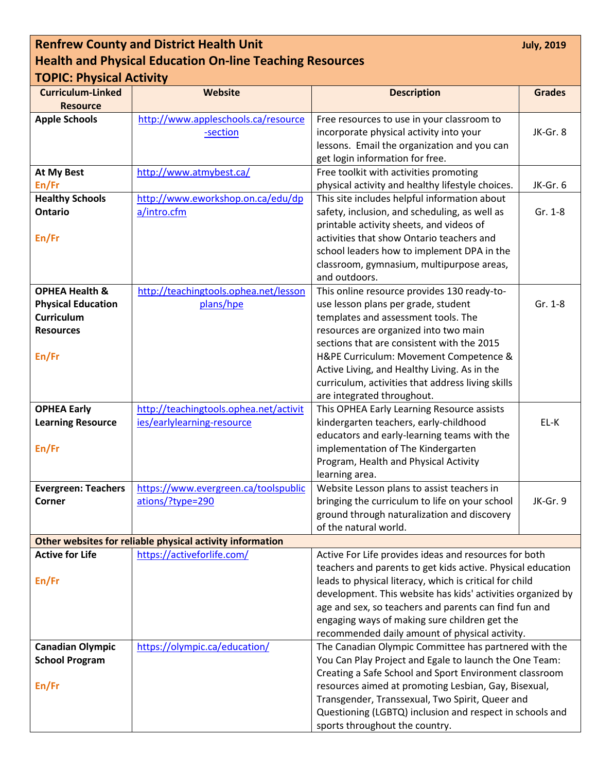| <b>Renfrew County and District Health Unit</b><br><b>July, 2019</b> |                                                           |                                                                                              |               |  |
|---------------------------------------------------------------------|-----------------------------------------------------------|----------------------------------------------------------------------------------------------|---------------|--|
| <b>Health and Physical Education On-line Teaching Resources</b>     |                                                           |                                                                                              |               |  |
| <b>TOPIC: Physical Activity</b>                                     |                                                           |                                                                                              |               |  |
| <b>Curriculum-Linked</b>                                            | Website                                                   | <b>Description</b>                                                                           | <b>Grades</b> |  |
| <b>Resource</b>                                                     |                                                           |                                                                                              |               |  |
| <b>Apple Schools</b>                                                | http://www.appleschools.ca/resource                       | Free resources to use in your classroom to                                                   |               |  |
|                                                                     | -section                                                  | incorporate physical activity into your                                                      | JK-Gr. 8      |  |
|                                                                     |                                                           | lessons. Email the organization and you can                                                  |               |  |
|                                                                     |                                                           | get login information for free.                                                              |               |  |
| <b>At My Best</b>                                                   | http://www.atmybest.ca/                                   | Free toolkit with activities promoting                                                       |               |  |
| En/Fr                                                               |                                                           | physical activity and healthy lifestyle choices.                                             | JK-Gr. 6      |  |
| <b>Healthy Schools</b>                                              | http://www.eworkshop.on.ca/edu/dp                         | This site includes helpful information about                                                 |               |  |
| <b>Ontario</b>                                                      | a/intro.cfm                                               | safety, inclusion, and scheduling, as well as                                                | Gr. 1-8       |  |
| En/Fr                                                               |                                                           | printable activity sheets, and videos of<br>activities that show Ontario teachers and        |               |  |
|                                                                     |                                                           | school leaders how to implement DPA in the                                                   |               |  |
|                                                                     |                                                           | classroom, gymnasium, multipurpose areas,                                                    |               |  |
|                                                                     |                                                           | and outdoors.                                                                                |               |  |
| <b>OPHEA Health &amp;</b>                                           | http://teachingtools.ophea.net/lesson                     | This online resource provides 130 ready-to-                                                  |               |  |
| <b>Physical Education</b>                                           | plans/hpe                                                 | use lesson plans per grade, student                                                          | Gr. 1-8       |  |
| Curriculum                                                          |                                                           | templates and assessment tools. The                                                          |               |  |
| <b>Resources</b>                                                    |                                                           | resources are organized into two main                                                        |               |  |
|                                                                     |                                                           | sections that are consistent with the 2015                                                   |               |  |
| En/Fr                                                               |                                                           | H&PE Curriculum: Movement Competence &                                                       |               |  |
|                                                                     |                                                           | Active Living, and Healthy Living. As in the                                                 |               |  |
|                                                                     |                                                           | curriculum, activities that address living skills                                            |               |  |
|                                                                     |                                                           | are integrated throughout.                                                                   |               |  |
| <b>OPHEA Early</b>                                                  | http://teachingtools.ophea.net/activit                    | This OPHEA Early Learning Resource assists                                                   |               |  |
| <b>Learning Resource</b>                                            | ies/earlylearning-resource                                | kindergarten teachers, early-childhood                                                       | EL-K          |  |
|                                                                     |                                                           | educators and early-learning teams with the                                                  |               |  |
| En/Fr                                                               |                                                           | implementation of The Kindergarten                                                           |               |  |
|                                                                     |                                                           | Program, Health and Physical Activity                                                        |               |  |
|                                                                     |                                                           | learning area.                                                                               |               |  |
| <b>Evergreen: Teachers</b><br>Corner                                | https://www.evergreen.ca/toolspublic<br>ations/?type=290  | Website Lesson plans to assist teachers in<br>bringing the curriculum to life on your school | JK-Gr. 9      |  |
|                                                                     |                                                           | ground through naturalization and discovery                                                  |               |  |
|                                                                     |                                                           | of the natural world.                                                                        |               |  |
|                                                                     | Other websites for reliable physical activity information |                                                                                              |               |  |
| <b>Active for Life</b>                                              | https://activeforlife.com/                                | Active For Life provides ideas and resources for both                                        |               |  |
|                                                                     |                                                           | teachers and parents to get kids active. Physical education                                  |               |  |
| En/Fr                                                               |                                                           | leads to physical literacy, which is critical for child                                      |               |  |
|                                                                     |                                                           | development. This website has kids' activities organized by                                  |               |  |
|                                                                     |                                                           | age and sex, so teachers and parents can find fun and                                        |               |  |
|                                                                     |                                                           | engaging ways of making sure children get the                                                |               |  |
|                                                                     |                                                           | recommended daily amount of physical activity.                                               |               |  |
| <b>Canadian Olympic</b>                                             | https://olympic.ca/education/                             | The Canadian Olympic Committee has partnered with the                                        |               |  |
| <b>School Program</b>                                               |                                                           | You Can Play Project and Egale to launch the One Team:                                       |               |  |
|                                                                     |                                                           | Creating a Safe School and Sport Environment classroom                                       |               |  |
| En/Fr                                                               |                                                           | resources aimed at promoting Lesbian, Gay, Bisexual,                                         |               |  |
|                                                                     |                                                           | Transgender, Transsexual, Two Spirit, Queer and                                              |               |  |
|                                                                     |                                                           | Questioning (LGBTQ) inclusion and respect in schools and                                     |               |  |
|                                                                     |                                                           | sports throughout the country.                                                               |               |  |